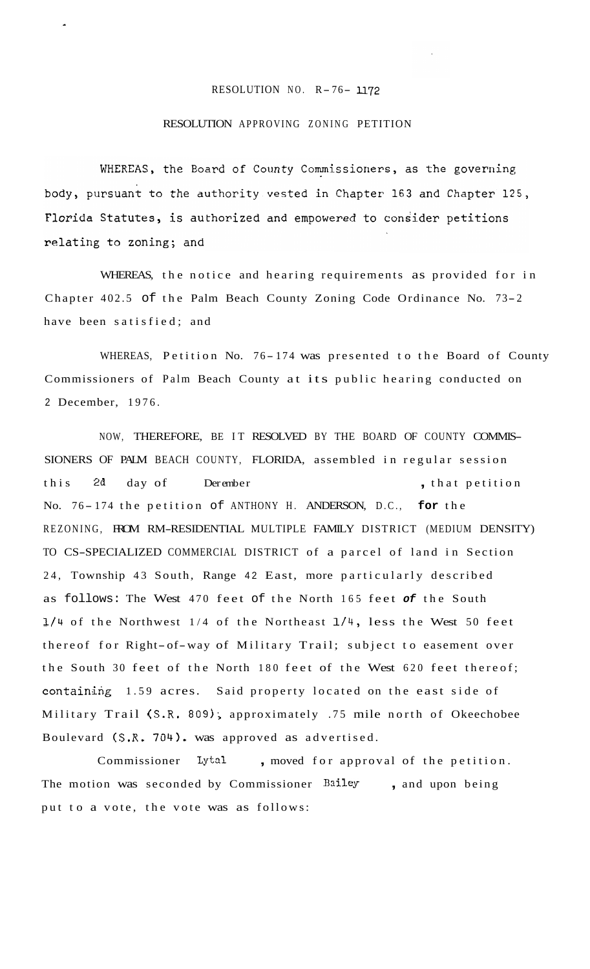## RESOLUTION NO.  $R-76-1172$

## RESOLUTION APPROVING ZONING PETITION

WHEREAS, the Board of County Commissioners, as the governing body, pursuant to the authority vested in Chapter 163 and Chapter 125, Florida Statutes, is authorized and empowered to consider petitions relating to zoning; and

WHEREAS, the notice and hearing requirements as provided for in Chapter 402.5 of the Palm Beach County Zoning Code Ordinance No. 73- <sup>2</sup> have been satisfied; and

WHEREAS, Petition No. 76-174 was presented to the Board of County Commissioners of Palm Beach County at its public hearing conducted on 2 December, 1976.

NOW, THEREFORE, BE IT RESOLVED BY THE BOARD OF COUNTY COMMIS-SIONERS OF PALM BEACH COUNTY, FLORIDA, assembled in regular session this 2d day of Derember , that petition No. 7 6 - 174 the petition of ANTHONY H. ANDERSON, D.C., **for** the REZONING, FROM RM-RESIDENTIAL MULTIPLE FAMILY DISTRICT (MEDIUM DENSITY) TO CS-SPECIALIZED COMMERCIAL DISTRICT of a parcel of land in Section 24, Township 43 South, Range 42 East, more particularly described as follows: The West 470 feet of the North 165 feet *of* the South 1/4 of the Northwest 1/4 of the Northeast 1/4, less the West 50 feet thereof for Right-of-way of Military Trail; subject to easement over the South 30 feet of the North 180 feet of the West 620 feet thereof; containing 1.59 acres. Said property located on the east side of Military Trail (S.R. 809); approximately .75 mile north of Okeechobee Boulevard (S.R. 704). was approved as advertised.

Commissioner Lytal , moved for approval of the petition. The motion was seconded by Commissioner **Bailey** , and upon being put to a vote, the vote was as follows: